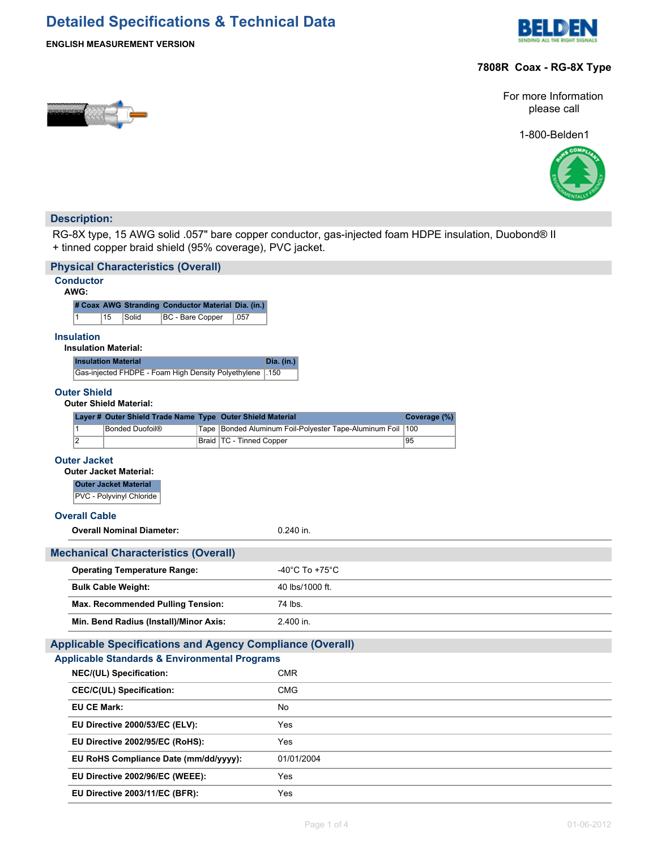# **Detailed Specifications & Technical Data**





# **7808R Coax - RG-8X Type**

For more Information please call

1-800-Belden1



# **Description:**

RG-8X type, 15 AWG solid .057" bare copper conductor, gas-injected foam HDPE insulation, Duobond® II + tinned copper braid shield (95% coverage), PVC jacket.

|                                                                | <b>Physical Characteristics (Overall)</b>                        |  |                            |             |                                                        |     |  |  |
|----------------------------------------------------------------|------------------------------------------------------------------|--|----------------------------|-------------|--------------------------------------------------------|-----|--|--|
| <b>Conductor</b><br>AWG:                                       |                                                                  |  |                            |             |                                                        |     |  |  |
|                                                                | # Coax AWG Stranding Conductor Material Dia. (in.)               |  |                            |             |                                                        |     |  |  |
| $\mathbf{1}$                                                   | 15<br>Solid<br>BC - Bare Copper                                  |  | .057                       |             |                                                        |     |  |  |
| <b>Insulation</b>                                              | <b>Insulation Material:</b>                                      |  |                            |             |                                                        |     |  |  |
|                                                                | <b>Insulation Material</b>                                       |  |                            | Dia. (in.)  |                                                        |     |  |  |
|                                                                | Gas-injected FHDPE - Foam High Density Polyethylene              |  |                            | .150        |                                                        |     |  |  |
| <b>Outer Shield</b>                                            | <b>Outer Shield Material:</b>                                    |  |                            |             |                                                        |     |  |  |
| Layer # Outer Shield Trade Name Type Outer Shield Material     |                                                                  |  |                            |             | Coverage (%)                                           |     |  |  |
| $\overline{1}$                                                 | <b>Bonded Duofoil®</b>                                           |  |                            |             | Tape Bonded Aluminum Foil-Polyester Tape-Aluminum Foil | 100 |  |  |
| $\overline{2}$                                                 |                                                                  |  | Braid   TC - Tinned Copper |             |                                                        | 95  |  |  |
| <b>Outer Jacket</b>                                            | <b>Outer Jacket Material:</b>                                    |  |                            |             |                                                        |     |  |  |
|                                                                | <b>Outer Jacket Material</b>                                     |  |                            |             |                                                        |     |  |  |
|                                                                | PVC - Polyvinyl Chloride                                         |  |                            |             |                                                        |     |  |  |
| <b>Overall Cable</b>                                           |                                                                  |  |                            |             |                                                        |     |  |  |
|                                                                | <b>Overall Nominal Diameter:</b>                                 |  |                            | $0.240$ in. |                                                        |     |  |  |
|                                                                | <b>Mechanical Characteristics (Overall)</b>                      |  |                            |             |                                                        |     |  |  |
|                                                                | <b>Operating Temperature Range:</b>                              |  |                            |             | -40 $^{\circ}$ C To +75 $^{\circ}$ C                   |     |  |  |
|                                                                |                                                                  |  |                            |             | 40 lbs/1000 ft.                                        |     |  |  |
| <b>Bulk Cable Weight:</b><br>Max. Recommended Pulling Tension: |                                                                  |  |                            |             | 74 lbs.                                                |     |  |  |
|                                                                | Min. Bend Radius (Install)/Minor Axis:                           |  |                            |             | 2.400 in.                                              |     |  |  |
|                                                                |                                                                  |  |                            |             |                                                        |     |  |  |
|                                                                | <b>Applicable Specifications and Agency Compliance (Overall)</b> |  |                            |             |                                                        |     |  |  |
|                                                                | <b>Applicable Standards &amp; Environmental Programs</b>         |  |                            |             |                                                        |     |  |  |
|                                                                | NEC/(UL) Specification:                                          |  |                            | <b>CMR</b>  |                                                        |     |  |  |
| <b>CEC/C(UL) Specification:</b>                                |                                                                  |  |                            |             | <b>CMG</b>                                             |     |  |  |
| <b>EU CE Mark:</b>                                             |                                                                  |  | No                         |             |                                                        |     |  |  |
| EU Directive 2000/53/EC (ELV):                                 |                                                                  |  | Yes                        |             |                                                        |     |  |  |
| EU Directive 2002/95/EC (RoHS):                                |                                                                  |  | Yes                        |             |                                                        |     |  |  |
|                                                                | EU RoHS Compliance Date (mm/dd/yyyy):                            |  |                            |             | 01/01/2004                                             |     |  |  |
|                                                                | EU Directive 2002/96/EC (WEEE):                                  |  |                            | Yes         |                                                        |     |  |  |
|                                                                | EU Directive 2003/11/EC (BFR):                                   |  |                            | Yes         |                                                        |     |  |  |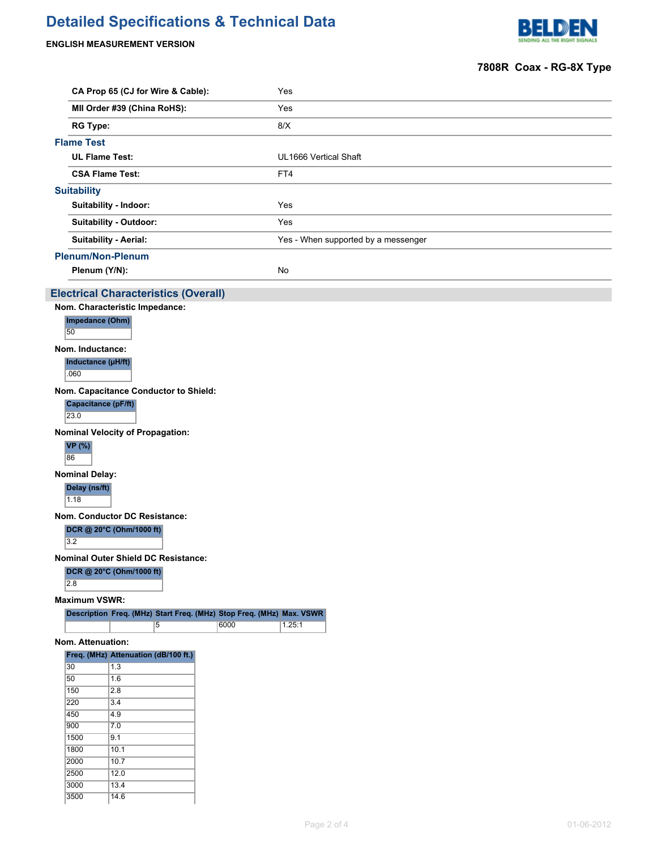# **Detailed Specifications & Technical Data**

# **ENGLISH MEASUREMENT VERSION**

3000 13.4 3500 14.6



|                       |                                                                      |                                     | 7808R Coax - RG-8X Type |
|-----------------------|----------------------------------------------------------------------|-------------------------------------|-------------------------|
|                       | CA Prop 65 (CJ for Wire & Cable):                                    | Yes                                 |                         |
|                       | MII Order #39 (China RoHS):                                          | Yes                                 |                         |
| <b>RG Type:</b>       |                                                                      | 8/X                                 |                         |
| <b>Flame Test</b>     |                                                                      |                                     |                         |
|                       | <b>UL Flame Test:</b>                                                | UL1666 Vertical Shaft               |                         |
|                       |                                                                      |                                     |                         |
|                       | <b>CSA Flame Test:</b>                                               | FT4                                 |                         |
| <b>Suitability</b>    |                                                                      |                                     |                         |
|                       | Suitability - Indoor:                                                | Yes                                 |                         |
|                       | Suitability - Outdoor:                                               | Yes                                 |                         |
|                       | <b>Suitability - Aerial:</b>                                         | Yes - When supported by a messenger |                         |
|                       | <b>Plenum/Non-Plenum</b>                                             |                                     |                         |
| Plenum (Y/N):         |                                                                      | No                                  |                         |
|                       |                                                                      |                                     |                         |
|                       | <b>Electrical Characteristics (Overall)</b>                          |                                     |                         |
| Impedance (Ohm)       | Nom. Characteristic Impedance:                                       |                                     |                         |
| 50                    |                                                                      |                                     |                         |
| Nom. Inductance:      |                                                                      |                                     |                         |
| Inductance (µH/ft)    |                                                                      |                                     |                         |
| .060                  |                                                                      |                                     |                         |
|                       | Nom. Capacitance Conductor to Shield:                                |                                     |                         |
| Capacitance (pF/ft)   |                                                                      |                                     |                         |
| 23.0                  |                                                                      |                                     |                         |
|                       | <b>Nominal Velocity of Propagation:</b>                              |                                     |                         |
| <b>VP</b> (%)<br>86   |                                                                      |                                     |                         |
| <b>Nominal Delay:</b> |                                                                      |                                     |                         |
| Delay (ns/ft)         |                                                                      |                                     |                         |
| 1.18                  |                                                                      |                                     |                         |
|                       | Nom. Conductor DC Resistance:                                        |                                     |                         |
|                       | DCR @ 20°C (Ohm/1000 ft)                                             |                                     |                         |
| 3.2                   |                                                                      |                                     |                         |
|                       | <b>Nominal Outer Shield DC Resistance:</b>                           |                                     |                         |
|                       | DCR @ 20°C (Ohm/1000 ft)                                             |                                     |                         |
| $\overline{2.8}$      |                                                                      |                                     |                         |
| <b>Maximum VSWR:</b>  |                                                                      |                                     |                         |
|                       | Description Freq. (MHz) Start Freq. (MHz) Stop Freq. (MHz) Max. VSWR |                                     |                         |
|                       | 6000<br>5                                                            | 1.25:1                              |                         |
| Nom. Attenuation:     |                                                                      |                                     |                         |
| 30                    | Freq. (MHz) Attenuation (dB/100 ft.)                                 |                                     |                         |
| 50                    | 1.3<br>1.6                                                           |                                     |                         |
| 150                   | $\overline{2.8}$                                                     |                                     |                         |
| 220                   | 3.4                                                                  |                                     |                         |
| 450                   | 4.9                                                                  |                                     |                         |
| 900                   | 7.0                                                                  |                                     |                         |
| 1500<br>1800          | 9.1<br>10.1                                                          |                                     |                         |
| 2000                  | 10.7                                                                 |                                     |                         |
| 2500                  | 12.0                                                                 |                                     |                         |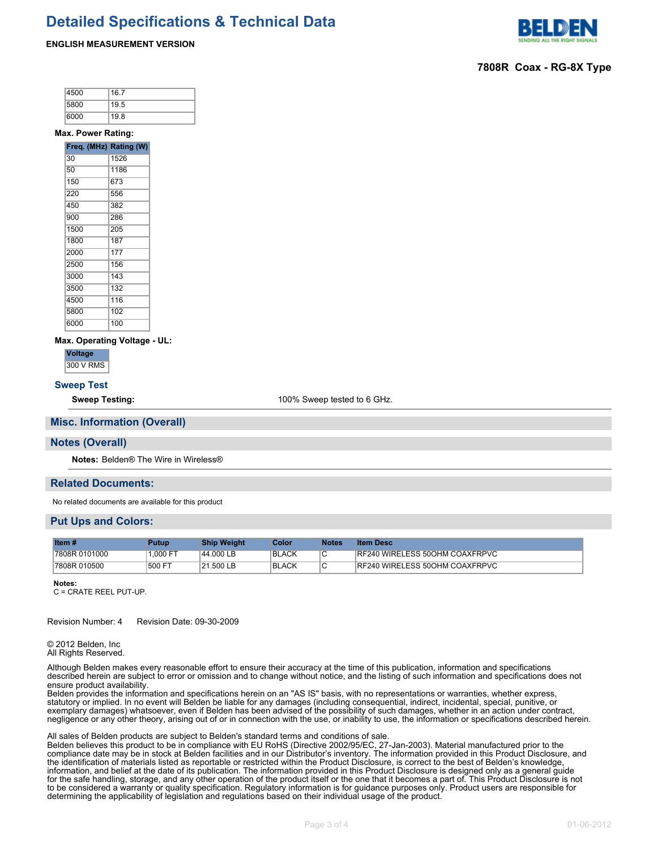# **Detailed Specifications & Technical Data**

# **ENGLISH MEASUREMENT VERSION**



# **7808R Coax - RG-8X Type**

| 4500 | 16.7 |
|------|------|
| 5800 | 19.5 |
| 6000 | 19.8 |

#### **Max. Power Rating:**

| Freq. (MHz) Rating (W) |      |
|------------------------|------|
| 30                     | 1526 |
| 50                     | 1186 |
| 150                    | 673  |
| 220                    | 556  |
| 450                    | 382  |
| 900                    | 286  |
| 1500                   | 205  |
| 1800                   | 187  |
| 2000                   | 177  |
| 2500                   | 156  |
| 3000                   | 143  |
| 3500                   | 132  |
| 4500                   | 116  |
| 5800                   | 102  |
| 6000                   | 100  |

#### **Max. Operating Voltage - UL:**

**Voltage**

300 V RMS

### **Sweep Test**

**Sweep Testing:** 100% Sweep tested to 6 GHz.

#### **Misc. Information (Overall)**

#### **Notes (Overall)**

**Notes:** Belden® The Wire in Wireless®

### **Related Documents:**

No related documents are available for this product

# **Put Ups and Colors:**

| Item $#$                  | Putup    | <b>Ship Weight</b> | Color        | <b>Notes</b> | <b>Item Desc</b>               |
|---------------------------|----------|--------------------|--------------|--------------|--------------------------------|
| 7808R 0101000             | 1.000 FT | 44.000 LB          | <b>BLACK</b> | ۱C           | RF240 WIRELESS 50OHM COAXFRPVC |
| <sup>1</sup> 7808R 010500 | 500 FT   | 21.500 LB          | <b>BLACK</b> | $\sim$<br>ັບ | RF240 WIRELESS 50OHM COAXFRPVC |

**Notes:**

C = CRATE REEL PUT-UP.

Revision Number: 4 Revision Date: 09-30-2009

© 2012 Belden, Inc All Rights Reserved.

Although Belden makes every reasonable effort to ensure their accuracy at the time of this publication, information and specifications described herein are subject to error or omission and to change without notice, and the listing of such information and specifications does not ensure product availability.

Belden provides the information and specifications herein on an "AS IS" basis, with no representations or warranties, whether express, statutory or implied. In no event will Belden be liable for any damages (including consequential, indirect, incidental, special, punitive, or exemplary damages) whatsoever, even if Belden has been advised of the possibility of such damages, whether in an action under contract, negligence or any other theory, arising out of or in connection with the use, or inability to use, the information or specifications described herein.

#### All sales of Belden products are subject to Belden's standard terms and conditions of sale.

Belden believes this product to be in compliance with EU RoHS (Directive 2002/95/EC, 27-Jan-2003). Material manufactured prior to the compliance date may be in stock at Belden facilities and in our Distributor's inventory. The information provided in this Product Disclosure, and the identification of materials listed as reportable or restricted within the Product Disclosure, is correct to the best of Belden's knowledge, information, and belief at the date of its publication. The information provided in this Product Disclosure is designed only as a general guide for the safe handling, storage, and any other operation of the product itself or the one that it becomes a part of. This Product Disclosure is not to be considered a warranty or quality specification. Regulatory information is for guidance purposes only. Product users are responsible for determining the applicability of legislation and regulations based on their individual usage of the product.